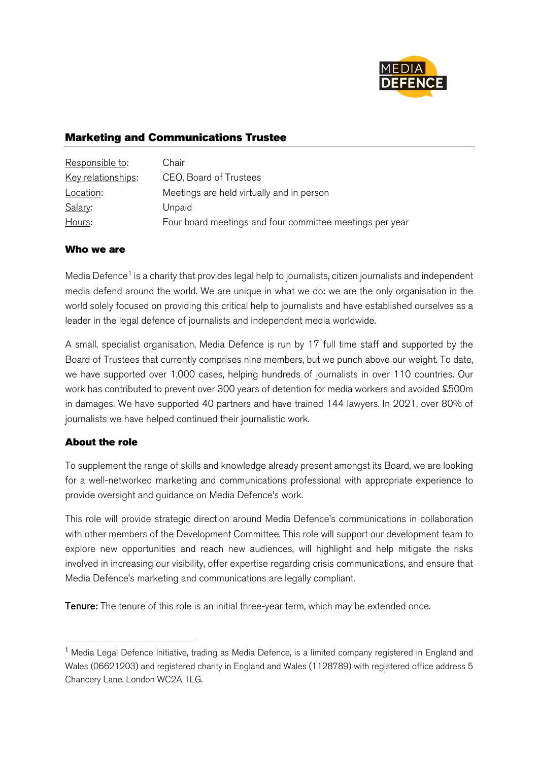

# Marketing and Communications Trustee

| Responsible to:    | Chair                                                    |
|--------------------|----------------------------------------------------------|
| Key relationships: | CEO, Board of Trustees                                   |
| Location:          | Meetings are held virtually and in person                |
| Salary:            | Unpaid                                                   |
| Hours:             | Four board meetings and four committee meetings per year |

#### Who we are

Media Defence<sup>1</sup> is a charity that provides legal help to journalists, citizen journalists and independent media defend around the world. We are unique in what we do: we are the only organisation in the world solely focused on providing this critical help to journalists and have established ourselves as a leader in the legal defence of journalists and independent media worldwide.

A small, specialist organisation, Media Defence is run by 17 full time staff and supported by the Board of Trustees that currently comprises nine members, but we punch above our weight. To date, we have supported over 1,000 cases, helping hundreds of journalists in over 110 countries. Our work has contributed to prevent over 300 years of detention for media workers and avoided £500m in damages. We have supported 40 partners and have trained 144 lawyers. In 2021, over 80% of journalists we have helped continued their journalistic work.

### About the role

To supplement the range of skills and knowledge already present amongst its Board, we are looking for a well-networked marketing and communications professional with appropriate experience to provide oversight and guidance on Media Defence's work.

This role will provide strategic direction around Media Defence's communications in collaboration with other members of the Development Committee. This role will support our development team to explore new opportunities and reach new audiences, will highlight and help mitigate the risks involved in increasing our visibility, offer expertise regarding crisis communications, and ensure that Media Defence's marketing and communications are legally compliant.

Tenure: The tenure of this role is an initial three-year term, which may be extended once.

<sup>&</sup>lt;sup>1</sup> Media Legal Defence Initiative, trading as Media Defence, is a limited company registered in England and Wales (06621203) and registered charity in England and Wales (1128789) with registered office address 5 Chancery Lane, London WC2A 1LG.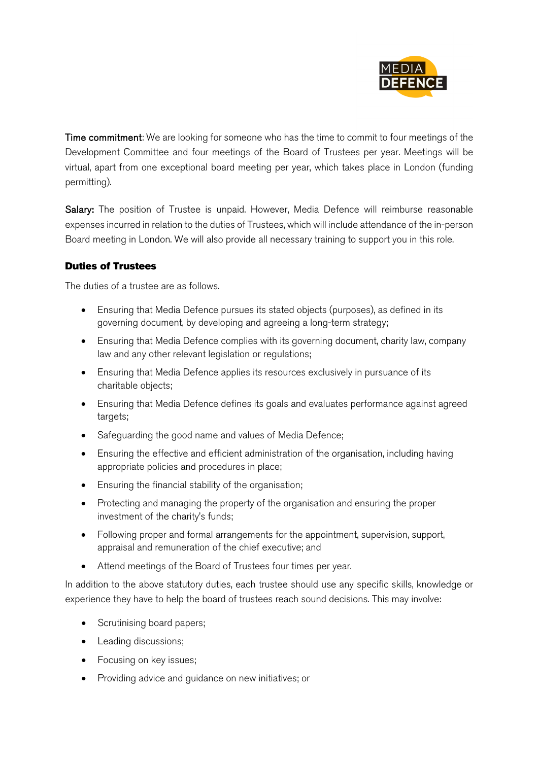

Time commitment: We are looking for someone who has the time to commit to four meetings of the Development Committee and four meetings of the Board of Trustees per year. Meetings will be virtual, apart from one exceptional board meeting per year, which takes place in London (funding permitting).

Salary: The position of Trustee is unpaid. However, Media Defence will reimburse reasonable expenses incurred in relation to the duties of Trustees, which will include attendance of the in-person Board meeting in London. We will also provide all necessary training to support you in this role.

## Duties of Trustees

The duties of a trustee are as follows.

- Ensuring that Media Defence pursues its stated objects (purposes), as defined in its governing document, by developing and agreeing a long-term strategy;
- Ensuring that Media Defence complies with its governing document, charity law, company law and any other relevant legislation or regulations;
- Ensuring that Media Defence applies its resources exclusively in pursuance of its charitable objects;
- Ensuring that Media Defence defines its goals and evaluates performance against agreed targets;
- Safeguarding the good name and values of Media Defence;
- Ensuring the effective and efficient administration of the organisation, including having appropriate policies and procedures in place;
- Ensuring the financial stability of the organisation;
- Protecting and managing the property of the organisation and ensuring the proper investment of the charity's funds;
- Following proper and formal arrangements for the appointment, supervision, support, appraisal and remuneration of the chief executive; and
- Attend meetings of the Board of Trustees four times per year.

In addition to the above statutory duties, each trustee should use any specific skills, knowledge or experience they have to help the board of trustees reach sound decisions. This may involve:

- Scrutinising board papers;
- Leading discussions;
- Focusing on key issues;
- Providing advice and guidance on new initiatives; or